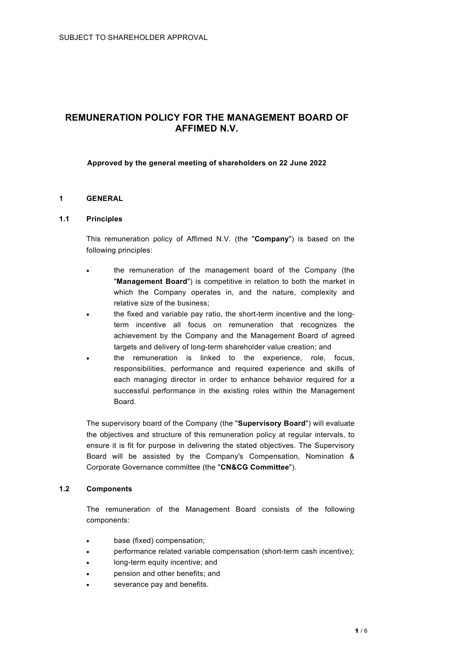# **REMUNERATION POLICY FOR THE MANAGEMENT BOARD OF AFFIMED N.V.**

### **Approved by the general meeting of shareholders on 22 June 2022**

### **1 GENERAL**

### **1.1 Principles**

This remuneration policy of Affimed N.V. (the "**Company**") is based on the following principles:

- the remuneration of the management board of the Company (the "**Management Board**") is competitive in relation to both the market in which the Company operates in, and the nature, complexity and relative size of the business;
- the fixed and variable pay ratio, the short-term incentive and the longterm incentive all focus on remuneration that recognizes the achievement by the Company and the Management Board of agreed targets and delivery of long-term shareholder value creation; and
- the remuneration is linked to the experience, role, focus, responsibilities, performance and required experience and skills of each managing director in order to enhance behavior required for a successful performance in the existing roles within the Management Board.

The supervisory board of the Company (the "**Supervisory Board**") will evaluate the objectives and structure of this remuneration policy at regular intervals, to ensure it is fit for purpose in delivering the stated objectives. The Supervisory Board will be assisted by the Company's Compensation, Nomination & Corporate Governance committee (the "**CN&CG Committee**").

### **1.2 Components**

The remuneration of the Management Board consists of the following components:

- base (fixed) compensation;
- performance related variable compensation (short-term cash incentive);
- long-term equity incentive; and
- pension and other benefits; and
- severance pay and benefits.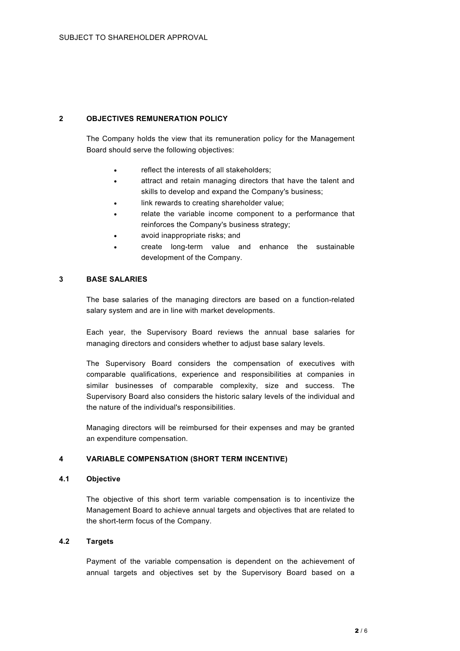### **2 OBJECTIVES REMUNERATION POLICY**

The Company holds the view that its remuneration policy for the Management Board should serve the following objectives:

- reflect the interests of all stakeholders;
- attract and retain managing directors that have the talent and skills to develop and expand the Company's business;
- link rewards to creating shareholder value;
- relate the variable income component to a performance that reinforces the Company's business strategy;
- avoid inappropriate risks; and
- create long-term value and enhance the sustainable development of the Company.

### **3 BASE SALARIES**

The base salaries of the managing directors are based on a function-related salary system and are in line with market developments.

Each year, the Supervisory Board reviews the annual base salaries for managing directors and considers whether to adjust base salary levels.

The Supervisory Board considers the compensation of executives with comparable qualifications, experience and responsibilities at companies in similar businesses of comparable complexity, size and success. The Supervisory Board also considers the historic salary levels of the individual and the nature of the individual's responsibilities.

Managing directors will be reimbursed for their expenses and may be granted an expenditure compensation.

### **4 VARIABLE COMPENSATION (SHORT TERM INCENTIVE)**

### **4.1 Objective**

The objective of this short term variable compensation is to incentivize the Management Board to achieve annual targets and objectives that are related to the short-term focus of the Company.

### **4.2 Targets**

Payment of the variable compensation is dependent on the achievement of annual targets and objectives set by the Supervisory Board based on a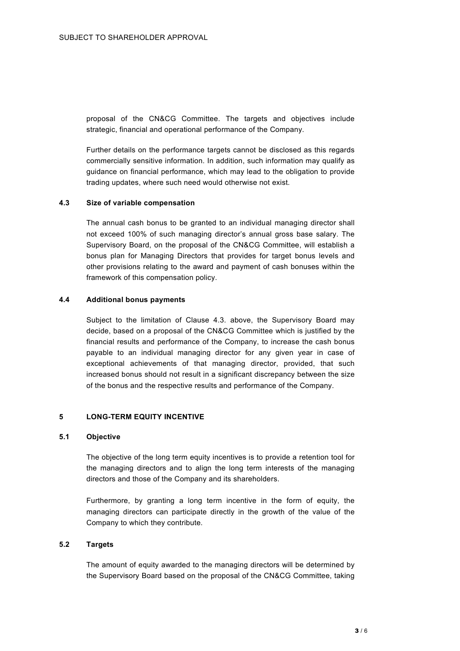proposal of the CN&CG Committee. The targets and objectives include strategic, financial and operational performance of the Company.

Further details on the performance targets cannot be disclosed as this regards commercially sensitive information. In addition, such information may qualify as guidance on financial performance, which may lead to the obligation to provide trading updates, where such need would otherwise not exist.

### **4.3 Size of variable compensation**

The annual cash bonus to be granted to an individual managing director shall not exceed 100% of such managing director's annual gross base salary. The Supervisory Board, on the proposal of the CN&CG Committee, will establish a bonus plan for Managing Directors that provides for target bonus levels and other provisions relating to the award and payment of cash bonuses within the framework of this compensation policy.

#### **4.4 Additional bonus payments**

Subject to the limitation of Clause 4.3. above, the Supervisory Board may decide, based on a proposal of the CN&CG Committee which is justified by the financial results and performance of the Company, to increase the cash bonus payable to an individual managing director for any given year in case of exceptional achievements of that managing director, provided, that such increased bonus should not result in a significant discrepancy between the size of the bonus and the respective results and performance of the Company.

### **5 LONG-TERM EQUITY INCENTIVE**

#### **5.1 Objective**

The objective of the long term equity incentives is to provide a retention tool for the managing directors and to align the long term interests of the managing directors and those of the Company and its shareholders.

Furthermore, by granting a long term incentive in the form of equity, the managing directors can participate directly in the growth of the value of the Company to which they contribute.

### **5.2 Targets**

The amount of equity awarded to the managing directors will be determined by the Supervisory Board based on the proposal of the CN&CG Committee, taking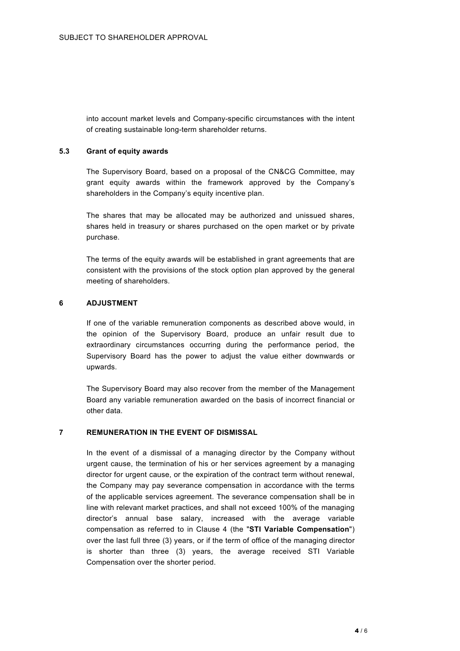into account market levels and Company-specific circumstances with the intent of creating sustainable long-term shareholder returns.

### **5.3 Grant of equity awards**

The Supervisory Board, based on a proposal of the CN&CG Committee, may grant equity awards within the framework approved by the Company's shareholders in the Company's equity incentive plan.

The shares that may be allocated may be authorized and unissued shares, shares held in treasury or shares purchased on the open market or by private purchase.

The terms of the equity awards will be established in grant agreements that are consistent with the provisions of the stock option plan approved by the general meeting of shareholders.

### **6 ADJUSTMENT**

If one of the variable remuneration components as described above would, in the opinion of the Supervisory Board, produce an unfair result due to extraordinary circumstances occurring during the performance period, the Supervisory Board has the power to adjust the value either downwards or upwards.

The Supervisory Board may also recover from the member of the Management Board any variable remuneration awarded on the basis of incorrect financial or other data.

### **7 REMUNERATION IN THE EVENT OF DISMISSAL**

In the event of a dismissal of a managing director by the Company without urgent cause, the termination of his or her services agreement by a managing director for urgent cause, or the expiration of the contract term without renewal, the Company may pay severance compensation in accordance with the terms of the applicable services agreement. The severance compensation shall be in line with relevant market practices, and shall not exceed 100% of the managing director's annual base salary, increased with the average variable compensation as referred to in Clause 4 (the "**STI Variable Compensation**") over the last full three (3) years, or if the term of office of the managing director is shorter than three (3) years, the average received STI Variable Compensation over the shorter period.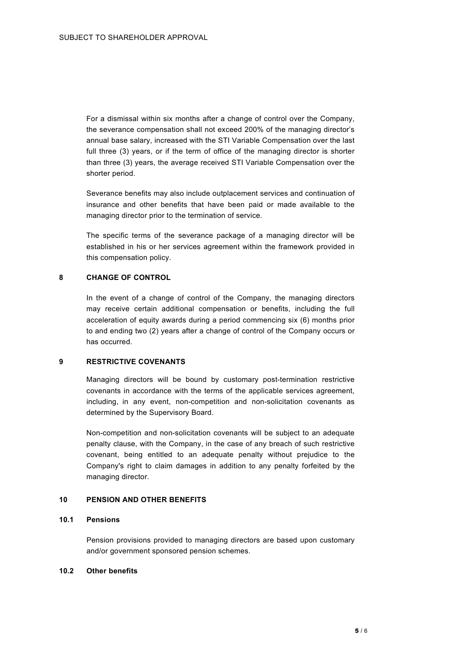For a dismissal within six months after a change of control over the Company, the severance compensation shall not exceed 200% of the managing director's annual base salary, increased with the STI Variable Compensation over the last full three (3) years, or if the term of office of the managing director is shorter than three (3) years, the average received STI Variable Compensation over the shorter period.

Severance benefits may also include outplacement services and continuation of insurance and other benefits that have been paid or made available to the managing director prior to the termination of service.

The specific terms of the severance package of a managing director will be established in his or her services agreement within the framework provided in this compensation policy.

#### **8 CHANGE OF CONTROL**

In the event of a change of control of the Company, the managing directors may receive certain additional compensation or benefits, including the full acceleration of equity awards during a period commencing six (6) months prior to and ending two (2) years after a change of control of the Company occurs or has occurred.

### **9 RESTRICTIVE COVENANTS**

Managing directors will be bound by customary post-termination restrictive covenants in accordance with the terms of the applicable services agreement, including, in any event, non-competition and non-solicitation covenants as determined by the Supervisory Board.

Non-competition and non-solicitation covenants will be subject to an adequate penalty clause, with the Company, in the case of any breach of such restrictive covenant, being entitled to an adequate penalty without prejudice to the Company's right to claim damages in addition to any penalty forfeited by the managing director.

### **10 PENSION AND OTHER BENEFITS**

### **10.1 Pensions**

Pension provisions provided to managing directors are based upon customary and/or government sponsored pension schemes.

### **10.2 Other benefits**